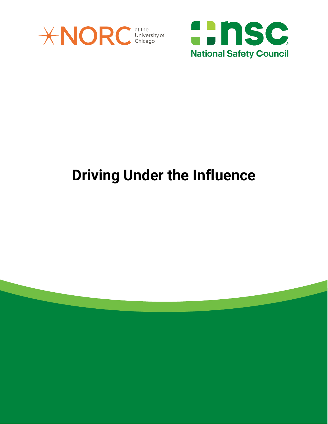



## **Driving Under the Influence**

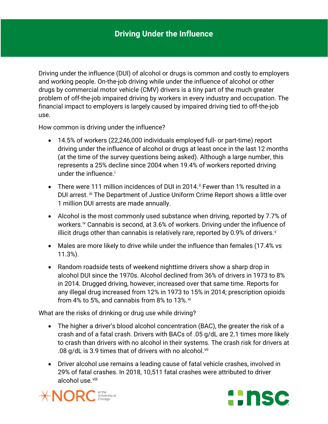Driving under the influence (DUI) of alcohol or drugs is common and costly to employers and working people. On-the-job driving while under the influence of alcohol or other drugs by commercial motor vehicle (CMV) drivers is a tiny part of the much greater problem of off-the-job impaired driving by workers in every industry and occupation. The financial impact to employers is largely caused by impaired driving tied to off-the-job use.

How common is driving under the influence?

- 14.5% of workers (22,246,000 individuals employed full- or part-time) report driving under the influence of alcohol or drugs at least once in the last 12 months (at the time of the survey questions being asked). Although a large number, this represents a 25% decline since 2004 when 19.4% of workers reported driving under the [i](#page-5-0)nfluence.<sup>i</sup>
- There were 111 million incidences of DUI in 2014.  $\mathbb{F}$  Fewer than 1% resulted in a DUI arrest. [iii](#page-6-0) The Department of Justice Uniform Crime Report shows a little over 1 million DUI arrests are made annually.
- Alcohol is the most commonly used substance when driving, reported by 7.7% of workers.<sup>[iv](#page-6-1)</sup> Cannabis is second, at 3.6% of workers. Driving under the influence of illicit drugs other than cannabis is relati[v](#page-6-2)ely rare, reported by 0.9% of drivers. $v$
- Males are more likely to drive while under the influence than females (17.4% vs 11.3%).
- Random roadside tests of weekend nighttime drivers show a sharp drop in alcohol DUI since the 1970s. Alcohol declined from 36% of drivers in 1973 to 8% in 2014. Drugged driving, however, increased over that same time. Reports for any illegal drug increased from 12% in 1973 to 15% in 2014; prescription opioids from 4% to 5%, and cannabis from 8% to 13%. Vi

What are the risks of drinking or drug use while driving?

- The higher a driver's blood alcohol concentration (BAC), the greater the risk of a crash and of a fatal crash. Drivers with BACs of .05 g/dL are 2.1 times more likely to crash than drivers with no alcohol in their systems. The crash risk for drivers at .08 g/dL is 3.9 times that of drivers with no alcohol.<sup>[vii](#page-6-4)</sup>
- Driver alcohol use remains a leading cause of fatal vehicle crashes, involved in 29% of fatal crashes. In 2018, 10,511 fatal crashes were attributed to driver alcohol use.<sup>[viii](#page-6-5)</sup>



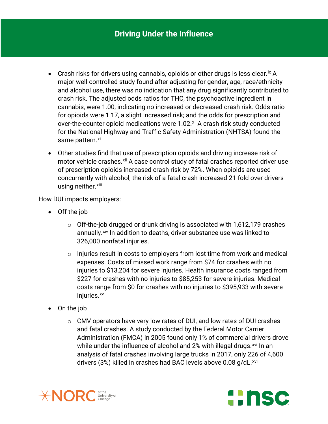- Crash risks for drivers using cannabis, opioids or other drugs is less clear.  ${}^{ix}$  ${}^{ix}$  ${}^{ix}$  A major well-controlled study found after adjusting for gender, age, race/ethnicity and alcohol use, there was no indication that any drug significantly contributed to crash risk. The adjusted odds ratios for THC, the psychoactive ingredient in cannabis, were 1.00, indicating no increased or decreased crash risk. Odds ratio for opioids were 1.17, a slight increased risk; and the odds for prescription and over-the-counter opioid medications were  $1.02$ . $*$  A crash risk study conducted for the National Highway and Traffic Safety Administration (NHTSA) found the same pattern.[xi](#page-6-8)
- Other studies find that use of prescription opioids and driving increase risk of motor vehicle crashes.<sup>[xii](#page-6-9)</sup> A case control study of fatal crashes reported driver use of prescription opioids increased crash risk by 72%. When opioids are used concurrently with alcohol, the risk of a fatal crash increased 21-fold over drivers using neither.<sup>[xiii](#page-6-10)</sup>

How DUI impacts employers:

- Off the job
	- $\circ$  Off-the-job drugged or drunk driving is associated with 1,612,179 crashes annually.<sup>[xiv](#page-6-11)</sup> In addition to deaths, driver substance use was linked to 326,000 nonfatal injuries.
	- o Injuries result in costs to employers from lost time from work and medical expenses. Costs of missed work range from \$74 for crashes with no injuries to \$13,204 for severe injuries. Health insurance costs ranged from \$227 for crashes with no injuries to \$85,253 for severe injuries. Medical costs range from \$0 for crashes with no injuries to \$395,933 with severe injuries.<sup>xv</sup>
- On the job
	- o CMV operators have very low rates of DUI, and low rates of DUI crashes and fatal crashes. A study conducted by the Federal Motor Carrier Administration (FMCA) in 2005 found only 1% of commercial drivers drove while under the influence of alcohol and 2% with illegal drugs.<sup>[xvi](#page-6-13)</sup> In an analysis of fatal crashes involving large trucks in 2017, only 226 of 4,600 drivers (3%) killed in crashes had BAC levels above 0.08 g/dL.<sup>[xvii](#page-7-0)</sup>



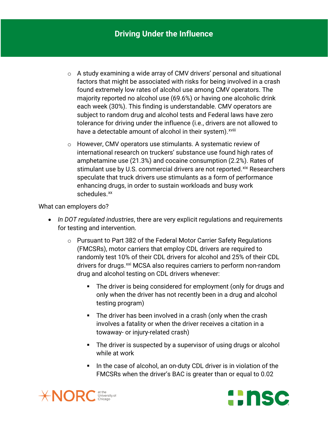- o A study examining a wide array of CMV drivers' personal and situational factors that might be associated with risks for being involved in a crash found extremely low rates of alcohol use among CMV operators. The majority reported no alcohol use (69.6%) or having one alcoholic drink each week (30%). This finding is understandable. CMV operators are subject to random drug and alcohol tests and Federal laws have zero tolerance for driving under the influence (i.e., drivers are not allowed to have a detectable amount of alcohol [i](#page-7-1)n their system).<sup>xviii</sup>
- o However, CMV operators use stimulants. A systematic review of international research on truckers' substance use found high rates of amphetamine use (21.3%) and cocaine consumption (2.2%). Rates of stimulant use by U.S. commercial drivers are not reported. [xix](#page-7-2) Researchers speculate that truck drivers use stimulants as a form of performance enhancing drugs, in order to sustain workloads and busy work schedules.<sup>[xx](#page-7-3)</sup>

What can employers do?

- *In DOT regulated industries*, there are very explicit regulations and requirements for testing and intervention.
	- o Pursuant to Part 382 of the Federal Motor Carrier Safety Regulations (FMCSRs), motor carriers that employ CDL drivers are required to randomly test 10% of their CDL drivers for alcohol and 25% of their CDL drivers for drugs.<sup>[xxi](#page-7-4)</sup> MCSA also requires carriers to perform non-random drug and alcohol testing on CDL drivers whenever:
		- The driver is being considered for employment (only for drugs and only when the driver has not recently been in a drug and alcohol testing program)
		- The driver has been involved in a crash (only when the crash involves a fatality or when the driver receives a citation in a towaway- or injury-related crash)
		- **The driver is suspected by a supervisor of using drugs or alcohol** while at work
		- In the case of alcohol, an on-duty CDL driver is in violation of the FMCSRs when the driver's BAC is greater than or equal to 0.02



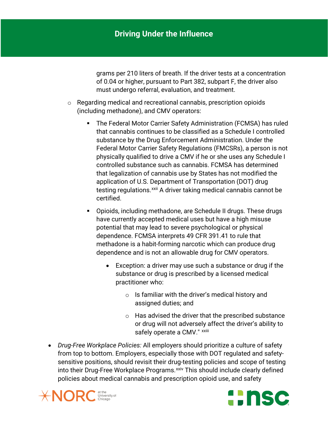grams per 210 liters of breath. If the driver tests at a concentration of 0.04 or higher, pursuant to Part 382, subpart F, the driver also must undergo referral, evaluation, and treatment.

- o Regarding medical and recreational cannabis, prescription opioids (including methadone), and CMV operators:
	- The Federal Motor Carrier Safety Administration (FCMSA) has ruled that cannabis continues to be classified as a Schedule I controlled substance by the Drug Enforcement Administration. Under the Federal Motor Carrier Safety Regulations (FMCSRs), a person is not physically qualified to drive a CMV if he or she uses any Schedule I controlled substance such as cannabis. FCMSA has determined that legalization of cannabis use by States has not modified the application of U.S. Department of Transportation (DOT) drug testing regulations.<sup>[xxii](#page-7-5)</sup> A driver taking medical cannabis cannot be certified.
	- Opioids, including methadone, are Schedule II drugs. These drugs have currently accepted medical uses but have a high misuse potential that may lead to severe psychological or physical dependence. FCMSA interprets 49 CFR 391.41 to rule that methadone is a habit-forming narcotic which can produce drug dependence and is not an allowable drug for CMV operators.
		- Exception: a driver may use such a substance or drug if the substance or drug is prescribed by a licensed medical practitioner who:
			- $\circ$  Is familiar with the driver's medical history and assigned duties; and
			- o Has advised the driver that the prescribed substance or drug will not adversely affect the driver's ability to safely operate a CMV." xxiii
- *Drug-Free Workplace Policies:* All employers should prioritize a culture of safety from top to bottom. Employers, especially those with DOT regulated and safetysensitive positions, should revisit their drug-testing policies and scope of testing into their Drug-Free Workplace Programs. XXiv This should include clearly defined policies about medical cannabis and prescription opioid use, and safety



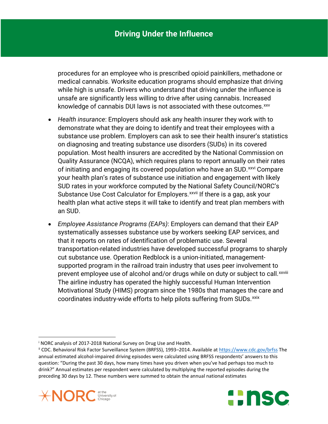procedures for an employee who is prescribed opioid painkillers, methadone or medical cannabis. Worksite education programs should emphasize that driving while high is unsafe. Drivers who understand that driving under the influence is unsafe are significantly less willing to drive after using cannabis. Increased knowledge of cannabis DUI laws is not associated with these outcomes.<sup>[xxv](#page-7-8)</sup>

- *Health insurance*: Employers should ask any health insurer they work with to demonstrate what they are doing to identify and treat their employees with a substance use problem. Employers can ask to see their health insurer's statistics on diagnosing and treating substance use disorders (SUDs) in its covered population. Most health insurers are accredited by the National Commission on Quality Assurance (NCQA), which requires plans to report annually on their rates of initiating and engaging its covered population who have an SUD. XXVI Compare Substance Use Cost Calculator for Employers. XXVII If there [i](#page-7-10)s a gap, ask your your health plan's rates of substance use initiation and engagement with likely SUD rates in your workforce computed by the National Safety Council/NORC's health plan what active steps it will take to identify and treat plan members with an SUD.
- *Employee Assistance Programs (EAPs)*: Employers can demand that their EAP systematically assesses substance use by workers seeking EAP services, and that it reports on rates of identification of problematic use. Several transportation-related industries have developed successful programs to sharply cut substance use. Operation Redblock is a union-initiated, managementsupported program in the railroad train industry that uses peer involvement to prevent employee use of alcohol and/or drugs wh[i](#page-7-11)le on duty or subject to call.<sup>xxviii</sup> The airline industry has operated the highly successful Human Intervention Motivational Study (HIMS) program since the 1980s that manages the care and coordinates industry-wide efforts to help pilots suffering from SUDs. [xxix](#page-7-12)

<span id="page-5-1"></span><span id="page-5-0"></span><sup>&</sup>lt;sup>i</sup> NORC analysis of 2017-2018 National Survey on Drug Use and Health.<br><sup>ii</sup> CDC. Behavioral Risk Factor Surveillance System (BRFSS), 1993–2014. Available at <u><https://www.cdc.gov/brfss></u> The annual estimated alcohol-impaired driving episodes were calculated using BRFSS respondents' answers to this question: "During the past 30 days, how many times have you driven when you've had perhaps too much to drink?" Annual estimates per respondent were calculated by multiplying the reported episodes during the preceding 30 days by 12. These numbers were summed to obtain the annual national estimates



 $\overline{\phantom{a}}$ 

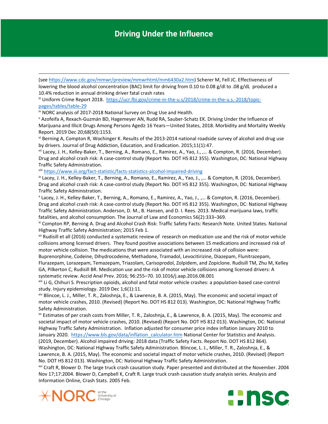## **Driving Under the Influence**

(see [https://www.cdc.gov/mmwr/preview/mmwrhtml/mm6430a2.htm\)](https://www.cdc.gov/mmwr/preview/mmwrhtml/mm6430a2.htm) Scherer M, Fell JC. Effectiveness of lowering the blood alcohol concentration (BAC) limit for driving from 0.10 to 0.08 g/dl to .08 g/dL produced a 10.4% reduction in annual drinking driver fatal crash rates

<span id="page-6-0"></span>iii Uniform Crime Report 2018. [https://ucr.fbi.gov/crime-in-the-u.s/2018/crime-in-the-u.s.-2018/topic](https://ucr.fbi.gov/crime-in-the-u.s/2018/crime-in-the-u.s.-2018/topic-pages/tables/table-29)[pages/tables/table-29](https://ucr.fbi.gov/crime-in-the-u.s/2018/crime-in-the-u.s.-2018/topic-pages/tables/table-29)

<span id="page-6-1"></span>iv NORC analysis of 2017-2018 National Survey on Drug Use and Health.

**.** 

<span id="page-6-2"></span><sup>v</sup> Azofeifa A, Rexach-Guzmán BD, Hagemeyer AN, Rudd RA, Sauber-Schatz EK. Driving Under the Influence of Marijuana and Illicit Drugs Among Persons Aged≥ 16 Years—United States, 2018. Morbidity and Mortality Weekly Report. 2019 Dec 20;68(50):1153.

<span id="page-6-3"></span>vi Berning A, Compton R, Wochinger K. Results of the 2013-2014 national roadside survey of alcohol and drug use by drivers. Journal of Drug Addiction, Education, and Eradication. 2015;11(1):47.

<span id="page-6-4"></span>vii Lacey, J. H., Kelley-Baker, T., Berning, A., Romano, E., Ramirez, A., Yao, J., ,... & Compton, R. (2016, December). Drug and alcohol crash risk: A case-control study (Report No. DOT HS 812 355). Washington, DC: National Highway Traffic Safety Administration.

<span id="page-6-5"></span>viii <https://www.iii.org/fact-statistic/facts-statistics-alcohol-impaired-driving>

<span id="page-6-6"></span>ix Lacey, J. H., Kelley-Baker, T., Berning, A., Romano, E., Ramirez, A., Yao, J., ,… & Compton, R. (2016, December). Drug and alcohol crash risk: A case-control study (Report No. DOT HS 812 355). Washington, DC: National Highway Traffic Safety Administration.

<span id="page-6-7"></span><sup>x</sup> Lacey, J. H., Kelley-Baker, T., Berning, A., Romano, E., Ramirez, A., Yao, J., ,… & Compton, R. (2016, December). Drug and alcohol crash risk: A case-control study (Report No. DOT HS 812 355). Washington, DC: National Highway Traffic Safety Administration. Anderson, D. M., B. Hansen, and D. I. Rees. 2013. Medical marijuana laws, traffic fatalities, and alcohol consumption. The Journal of Law and Economics 56(2):333–369.

<span id="page-6-8"></span>xi Compton RP, Berning A. Drug and Alcohol Crash Risk: Traffic Safety Facts: Research Note. United States. National Highway Traffic Safety Administration; 2015 Feb 1.

<span id="page-6-9"></span>xii Rudisill et all (2016) conducted a systematic review of research on medication use and the risk of motor vehicle collisions among licensed drivers. They found positive associations between 15 medications and increased risk of motor vehicle collision. The medications that were associated with an increased risk of collision were:

Buprenorphine, Codeine, Dihydrocodeine, Methadone, Tramadol, Levocitirizine, Diazepam, Flunitrazepam, Flurazepam, Lorazepam, Temazepam, Triazolam, Carisoprodol, Zolpidem, and Zopiclone. Rudisill TM, Zhu M, Kelley GA, Pilkerton C, Rudisill BR. Medication use and the risk of motor vehicle collisions among licensed drivers: A systematic review. Accid Anal Prev. 2016; 96:255–70. 10.1016/j.aap.2016.08.001<br><sup>xiii</sup> Li G, Chihuri S. Prescription opioids, alcohol and fatal motor vehicle crashes: a population-based case-control

<span id="page-6-10"></span>study. Injury epidemiology. 2019 Dec 1;6(1):11.

<span id="page-6-11"></span>xiv Blincoe, L. J., Miller, T. R., Zaloshnja, E., & Lawrence, B. A. (2015, May). The economic and societal impact of motor vehicle crashes, 2010. (Revised) (Report No. DOT HS 812 013). Washington, DC: National Highway Traffic Safety Administration.

<span id="page-6-12"></span>xv Estimates of per crash costs from Miller, T. R., Zaloshnja, E., & Lawrence, B. A. (2015, May). The economic and societal impact of motor vehicle crashes, 2010. (Revised) (Report No. DOT HS 812 013). Washington, DC: National Highway Traffic Safety Administration. Inflation adjusted for consumer price index inflation January 2010 to January 2020. [https://www.bls.gov/data/inflation\\_calculator.htm](https://www.bls.gov/data/inflation_calculator.htm) National Center for Statistics and Analysis. (2019, December). Alcohol impaired driving: 2018 data (Traffic Safety Facts. Report No. DOT HS 812 864). Washington, DC: National Highway Traffic Safety Administration. Blincoe, L. J., Miller, T. R., Zaloshnja, E., & Lawrence, B. A. (2015, May). The economic and societal impact of motor vehicle crashes, 2010. (Revised) (Report No. DOT HS 812 013). Washington, DC: National Highway Traffic Safety Administration.

<span id="page-6-13"></span>xvi Craft R, Blower D. The large truck crash causation study. Paper presented and distributed at the November. 2004 Nov 17;17:2004. Blower D, Campbell K, Craft R. Large truck crash causation study analysis series. Analysis and Information Online, Crash Stats. 2005 Feb.